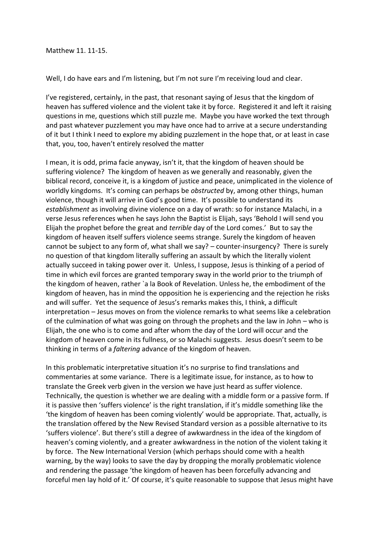## Matthew 11. 11-15.

Well, I do have ears and I'm listening, but I'm not sure I'm receiving loud and clear.

I've registered, certainly, in the past, that resonant saying of Jesus that the kingdom of heaven has suffered violence and the violent take it by force. Registered it and left it raising questions in me, questions which still puzzle me. Maybe you have worked the text through and past whatever puzzlement you may have once had to arrive at a secure understanding of it but I think I need to explore my abiding puzzlement in the hope that, or at least in case that, you, too, haven't entirely resolved the matter

I mean, it is odd, prima facie anyway, isn't it, that the kingdom of heaven should be suffering violence? The kingdom of heaven as we generally and reasonably, given the biblical record, conceive it, is a kingdom of justice and peace, unimplicated in the violence of worldly kingdoms. It's coming can perhaps be *obstructed* by, among other things, human violence, though it will arrive in God's good time. It's possible to understand its *establishment* as involving divine violence on a day of wrath: so for instance Malachi, in a verse Jesus references when he says John the Baptist is Elijah, says 'Behold I will send you Elijah the prophet before the great and *terrible* day of the Lord comes.' But to say the kingdom of heaven itself suffers violence seems strange. Surely the kingdom of heaven cannot be subject to any form of, what shall we say? – counter-insurgency? There is surely no question of that kingdom literally suffering an assault by which the literally violent actually succeed in taking power over it. Unless, I suppose, Jesus is thinking of a period of time in which evil forces are granted temporary sway in the world prior to the triumph of the kingdom of heaven, rather `a la Book of Revelation. Unless he, the embodiment of the kingdom of heaven, has in mind the opposition he is experiencing and the rejection he risks and will suffer. Yet the sequence of Jesus's remarks makes this, I think, a difficult interpretation – Jesus moves on from the violence remarks to what seems like a celebration of the culmination of what was going on through the prophets and the law in John – who is Elijah, the one who is to come and after whom the day of the Lord will occur and the kingdom of heaven come in its fullness, or so Malachi suggests. Jesus doesn't seem to be thinking in terms of a *faltering* advance of the kingdom of heaven.

In this problematic interpretative situation it's no surprise to find translations and commentaries at some variance. There is a legitimate issue, for instance, as to how to translate the Greek verb given in the version we have just heard as suffer violence. Technically, the question is whether we are dealing with a middle form or a passive form. If it is passive then 'suffers violence' is the right translation, if it's middle something like the 'the kingdom of heaven has been coming violently' would be appropriate. That, actually, is the translation offered by the New Revised Standard version as a possible alternative to its 'suffers violence'. But there's still a degree of awkwardness in the idea of the kingdom of heaven's coming violently, and a greater awkwardness in the notion of the violent taking it by force. The New International Version (which perhaps should come with a health warning, by the way) looks to save the day by dropping the morally problematic violence and rendering the passage 'the kingdom of heaven has been forcefully advancing and forceful men lay hold of it.' Of course, it's quite reasonable to suppose that Jesus might have